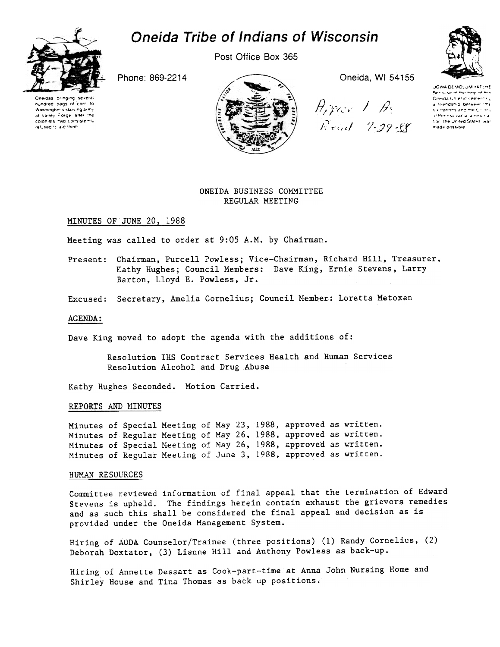

# Oneida Tribe of Indians of Wisconsin

Post Office Box 365





 $\mathcal{E}_{\mathcal{E}}$  (  $\mathcal{E} \subset \mathcal{E}$  ,  $\mathcal{E}$ Read 7-29-EP

JGWA DEMOLJM YATEHE principal of the help of th Oneida Chiefin cementriç<br>La "fiendship" betweer "the s i nations and the Conw. ,'P..rr"..r.. iI r\_~ 'il " for the United States war made possible

# ONEIDA BUSINESS COMMITTEE REGULAR MEETING

## MINUTES OF JUNE 20, 1988

Meeting was called to order at 9:05 A.M. by Chairman.

- Present: Chairman, Purcell Powless; Vice-Chairman, Richard Hill, Treasurer, Kathy Hughes; Council Members: Dave King, Ernie Stevens, Larry Barton, Lloyd E. Powless, Jr.
- Excused: Secretary, Amelia Cornelius; Council Member: Loretta Metoxen

#### AGENDA:

Dave King moved to adopt the agenda with the additions of:

Resolution IHS Contract Services Health and Human Services Resolution Alcohol and Drug Abuse

Kathy Hughes Seconded. Motion Carried.

## REPORTS AND MINUTES

Minutes of Special Meeting of May 23, 1988, approved as written. Minutes of Regular Meeting of May 26, 1988, approved as written. Minutes of Special Meeting of May 26, 1988, approved as written. Minutes of Regular Meeting of June 3, 1988, approved as written.

#### HUMAN RESOURCES

Committee reviewed information of final appeal that the termination of Edward Stevens is upheld. The findings herein contain exhaust the gricvors remedies and as such this shall be considered the final appeal and decision as is provided under the Oneida Management System.

Hiring of AODA Counselor/Trainee (three positions) (1) Randy Cornelius, (2) Deborah Doxtator, (3) Lianne Hill and Anthony Powless as back-up.

Hiring of Annette Dessart as Cook-part-time at Anna John Nursing Home and Shirley House and Tina Thomas as back up positions.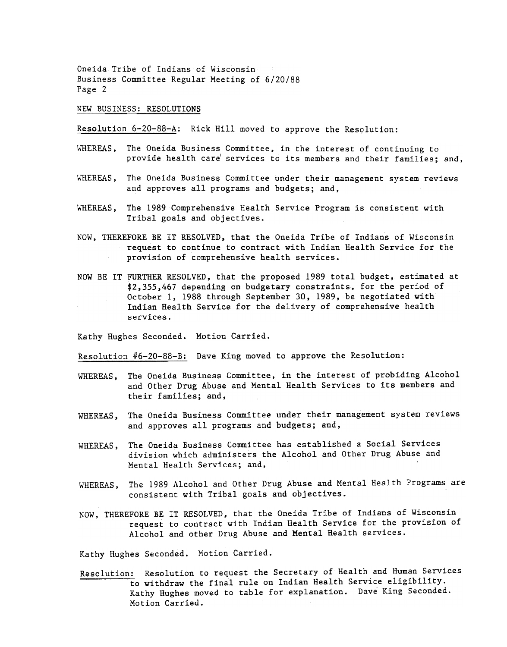NEW BUSINESS: RESOLUTIONS

Resolution 6-20-88-A: Rick Hill moved to approve the Resolution:

- WHEREAS, The Oneida Business Committee, in the interest of continuing to provide health carel services to its members and their families; and,
- WHEREAS, The Oneida Business Committee under their management system reviews and approves all programs and budgets; and,
- WHEREAS, The 1989 Comprehensive Health Service Program is consistent with Tribal goals and objectives.
- NOW, THEREFORE BE IT RESOLVED, that the Oneida Tribe of Indians of Wisconsin request to continue to contract with Indian Health Service for the provision of comprehensive health services.
- NOW BE IT FURTHER RESOLVED, that the proposed 1989 total budget, estimated at \$2,355,467 depending on budgetary constraints, for the period of October 1, 1988 through September 30, 1989, be negotiated with Indian Health Service for the delivery of comprehensive health services.

Kathy Hughes Seconded. Motion Carried.

Resolution #6-20-88-B: Dave King moved to approve the Resolution:

- The Oneida Business Committee, in the interest of probiding Alcohol and Other Drug Abuse and Mental Health Services to its members and their families; and, WHEREAS,
- WHEREAS, The Oneida Business Committee under their management system reviews and approves all programs and budgets; and,
- WHEREAS, The Oneida Business Committee has established a Social Service division which administers the Alcohol and Other Drug Abuse and Mental Health Services; and,
- WHEREAS, The 1989 Alcohol and Other Drug Abuse and Mental Health Programs are consistent with Tribal goals and objectives.
- NOW, THEREFORE BE IT RESOLVED, that the Oneida Tribe of Indians of Wisconsin request to contract with Indian Health Service for the provision of Alcohol and other Drug Abuse and Mental Health services.

Kathy Hughes Seconded. Motion Carried.

Resolution: Resolution to request the Secretary of Health and Human Services to withdraw the final rule on Indian Health Service eligibility. Kathy Hughes moved to table for explanation. Dave King Seconded. Motion Carried.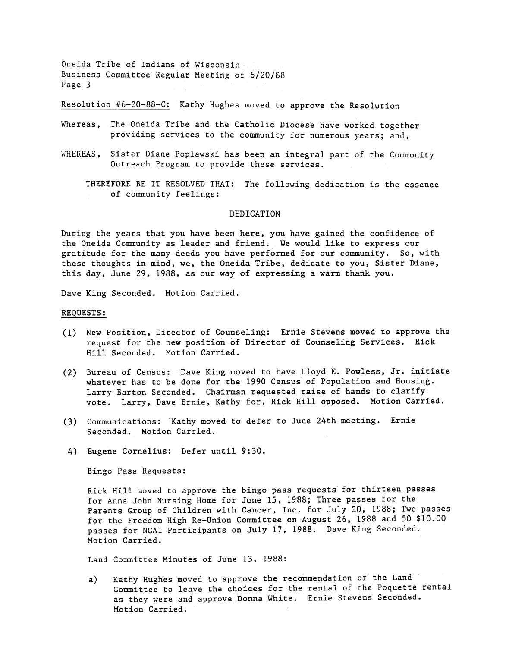Re8o1ution /16-20-88-C: Kathy Hughes moved to approve the Resolution

- Whereas, The Oneida Tribe and the Catholic Diocese have worked together providing services to the community for numerous years; and,
- WHEREAS, Sister Diane Poplawski has been an integral part of the Community Outreach Program to provide these services.

THEREFORE BE IT RESOLVED THAT: The following dedication is the essenc of community feelings:

#### DEDICATION

During the years that you have been here, you have gained the confidence of the Oneida Community as leader and friend. We would like to express our gratitude for the many deeds you have performed for our community. So, with these thoughts in mind, we, the Oneida Tribe, dedicate to you, Sister Diane, this day, June 29, 1988, as our way of expressing a warm thank you.

Dave King Seconded. Motion Carried.

#### REQUESTS:

- (1) New Position, Director of Counseling: Ernie Stevens moved to approve the request for the new position of Director of Counseling Services. Rick Hill Seconded. Motion Carried.
- (2) Bureau of Census: Dave King moved to have Lloyd E. Powless, Jr. initi whatever has to be done for the 1990 Census of Population and Housing. Larry Barton Seconded. Chairman requested raise of hands to clarify vote. Larry, Dave Ernie, Kathy for, Rick Hill opposed. Motion Carried.
- (3) Communications: 'Kathy moved to defer to June 24th meeting. Erni Seconded. Motion Carried.
- 4) Eugene Cornelius: Defer until 9:30.

Bingo Pass Requests:

Rick Hill moved to approve the bingo pass requests for thirteen passes for Anna John Nursing Home for June IS, 1988; Three passes for the Parents Group of Children with Cancer, Inc. for July 20, 1988; Two passes for the Freedom High Re-Union Committee on August 26, 1988 and 50 \$10.00 passes for NCAI Participants on July 17, 1988. Dave King Seconded. Motion Carried.

Land Committee Minutes of June 13, 1988:

a) Kathy Hughes moved to approve the recommendation of the Land Committee to leave the choices for the rental of the Poquette rental as they were and approve Donna White. Ernie Stevens Seconded. Motion Carried.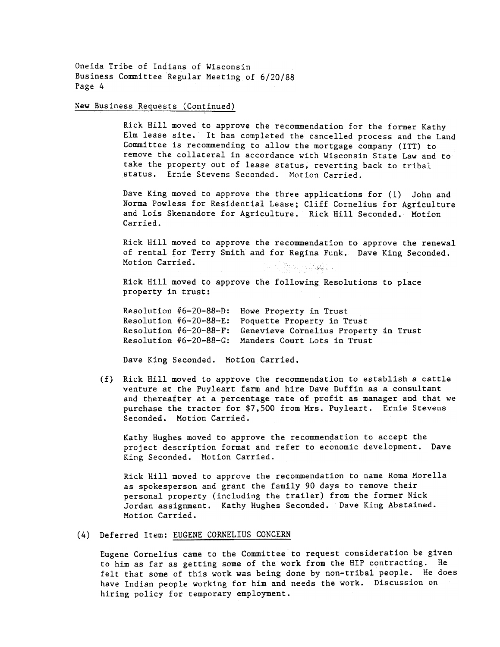## New Business Requests (Continued)

Rick Hill moved to approve the recommendation for the former Kathy Elm lease site. It has completed the cancelled process and the Land Committee is recommending to allow the mortgage company (ITT) to remove the collateral in accordance with Wisconsin State Law and to take the property out of lease status, reverting back to tribal status. Ernie Stevens Seconded. Motion Carried.

Dave King moved to approve the three applications for (1) John and Norma Powless for Residential Lease; Cliff Cornelius for Agriculture and Lois Skenandore for Agriculture. Rick Hill Seconded. Motion Carried.

Rick Hill moved to approve the recommendation to approve the renewal of rental for Terry Smith and for Regina Funk. Dave King Seconded. Motion Carried. 

Rick Hill moved to approve the following Resolutions to place property in trust:

Resolution #6-20-88-D: Howe Property in Trus Resolution #6-20-88-E: Poquette Property in Trus Resolution #6-20-88-F: Genevieve Cornelius Property in Trus Resolution #6-20-88-G: Manders Court Lots in Trus

Dave King Seconded. Motion Carried.

(f) Rick Hill moved to approve the recommendation to establish a cattle venture at the Puyleart farm and hire Dave Duffin as a consultant and thereafter at a percentage rate of profit as manager and that we purchase the tractor for \$7,500 from Mrs. Puyleart. Ernie Stevens Seconded. Motion Carried.

Kathy Hughes moved to approve the recommendation to accept the project description format and refer to economic development. Dave King Seconded. Motion Carried.

Rick Hill moved to approve the recommendation to name Roma Morella as spokesperson and grant the family 90 days to remove their personal property (including the trailer) from the former Nick Jordan assignment. Kathy Hughes Seconded. Dave King Abstained. Motion Carried.

# (4) Deferred Item: EUGENE CORNELIUS CONCERN

Eugene Cornelius came to the Committee to request consideration be given to him as far as getting some of the work from the HIP contracting. He felt that some of this work was being done by non-tribal people. He does have Indian people working for him and needs the work. Discussion on hiring policy for temporary employment.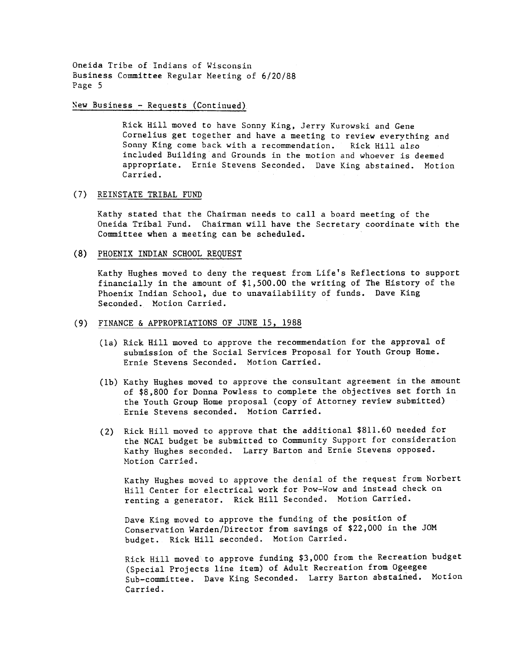#### $New Business - Requests (Continued)$

Rick Hill moved to have Sonny King, Jerry Kurowski and Gene Cornelius get together and have a meeting to review everything and Sonny King come back with a recommendation. Rick Hill also included Building and Grounds in the motion and whoever is deemed appropriate. Ernie Stevens Seconded. Dave King abstained. Motion Carried.

#### (7) REINSTATE TRIBAL FUND

Kathy stated that the Chairman needs to call a board meeting of the Oneida Tribal Fund. Chairman will have the Secretary coordinate with the Committee when a meeting can be scheduled.

#### (8) PHOENIX INDIAN SCHOOL REQUEST

Kathy Hughes moved to deny the request from Life's Reflections to support financially in the amount of \$1,500.00 the writing of The History of the Phoenix Indian School, due to unavailability of funds. Dave King Seconded. Motion Carried.

#### (9) FINANCE & APPROPRIATIONS OF JUNE 15, 1988

- (la) Rick Hill moved to approve the recommendation for the approval of submission of the Social Services Proposal for Youth Group Home. Ernie Stevens Seconded. Motion Carried.
- (lb) Kathy Hughes moved to approve the consultant agreement in the amount of \$8,800 for Donna Powless to complete the objectives set forth in the Youth Group Home proposal (copy of Attorney review submitted) Ernie Stevens seconded. Motion Carried.
- (2) Rick Hill moved to approve that the additional  $$811.60$  needed for the NCAI budget be submitted to Community Support for consideration Kathy Hughes seconded. Larry Barton and Ernie Stevens opposed. Motion Carried.

Kathy Hughes moved to approve the denial of the request from Norbert Hill Center for electrical work for Pow-Wow and instead check on renting a generator. Rick Hill Seconded. Motion Carried.

Dave King moved to approve the funding of the position of Conservation Warden/Director from savings of \$22,000 in the JOM budget. Rick Hill seconded. Motion Carried.

Rick Hill moved to approve funding \$3,000 from the Recreation budget (Special Projects line item) of Adult Recreation from Ogeegee Sub-committee. Dave King Seconded. Larry Barton abstained. Motion Carried.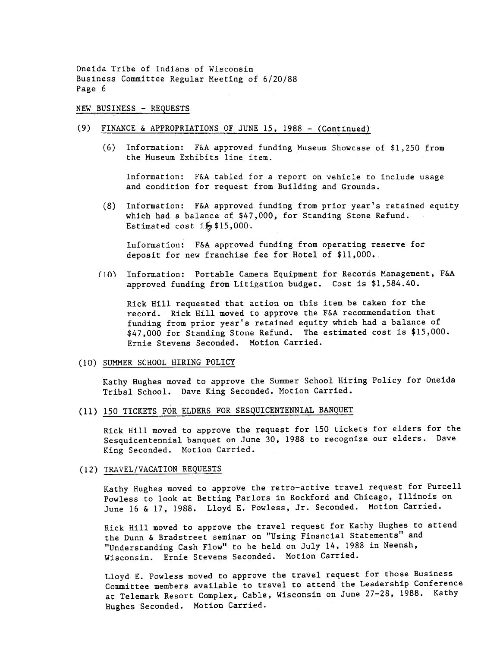#### NEW BUSINESS - REQUESTS

# (9) FINANCE & APPROPRIATIONS OF JUNE 15, 1988 - (Continued)

(6) Information: F&A approved funding Museum Showcase of \$1,250 from the Museum Exhibits line item.

Information: F&A tabled for a report on vehicle to include usage and condition for request from Building and Grounds.

(8) Information: F&A approved funding from prior year's retained equity which had a balance of \$47,000, for Standing Stone Refund. Estimated cost  $i\frac{1}{2}$ \$15,000.

Information: F&A approved funding from operating reserve for deposit for new franchise fee for Hotel of \$11,000.

(10) Information: Portable Camera Equipment for Records Management, F&A approved funding from Litigation budget. Cost is \$1,584.40.

Rick Hill requested that action on this item be taken for the record. Rick Hill moved to approve the F&A recommendation that funding from prior year's retained equity which had a balance of \$47,000 for Standing Stone Refund. The estimated cost is \$15,000. Ernie Stevens Seconded. Motion Carried.

#### (10) SUMMER SCHOOL HIRING POLICY

Kathy Hughes moved to approve the Summer School Hiring Policy for Oneida Tribal School. Dave King Seconded. Motion Carried.

(11) 150 TICKETS FOR ELDERS FOR SESQUICENTENNIAL BANQUET

Rick Hill moved to approve the request for 150 tickets for elders for the Sesquicentennial banquet on June 30, 1988 to recognize our elders. Dave King Seconded. Motion Carried.

#### (12) TRAVEL/VACATION REQUESTS

Kathy Hughes moved to approve the retro-active travel request for Purcell Powless to look at Betting Parlors in Rockford and Chicago, Illinois on June 16 & 17, 1988. Lloyd E. Powless, Jr. Seconded. Motion Carried.

Rick Hill moved to approve the travel request for Kathy Hughes to attend the Dunn & Bradstreet seminar on "Using Financial Statements" and "Understanding Cash Flow" to be held on July 14, 1988 in Neenah, Wisconsin. Ernie Stevens Seconded. Motion Carried.

Lloyd E. Powless moved to approve the travel request for those Business Committee members available to travel to attend the Leadership Conference at Telemark Resort Complex, Cable, Wisconsin on June 27-28, 1988. Kathy Hughes Seconded. Motion Carried.